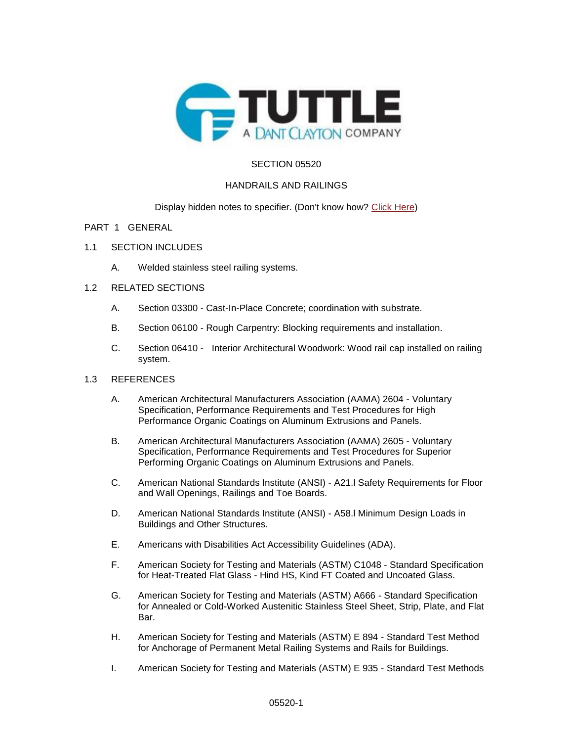

## SECTION 05520

### HANDRAILS AND RAILINGS

### Display hidden notes to specifier. (Don't know how? [Click Here\)](http://www.arcat.com/sd/display_hidden_notes.shtml)

### PART 1 GENERAL

- 1.1 SECTION INCLUDES
	- A. Welded stainless steel railing systems.

### 1.2 RELATED SECTIONS

- A. Section 03300 Cast-In-Place Concrete; coordination with substrate.
- B. Section 06100 Rough Carpentry: Blocking requirements and installation.
- C. Section 06410 Interior Architectural Woodwork: Wood rail cap installed on railing system.

### 1.3 REFERENCES

- A. American Architectural Manufacturers Association (AAMA) 2604 Voluntary Specification, Performance Requirements and Test Procedures for High Performance Organic Coatings on Aluminum Extrusions and Panels.
- B. American Architectural Manufacturers Association (AAMA) 2605 Voluntary Specification, Performance Requirements and Test Procedures for Superior Performing Organic Coatings on Aluminum Extrusions and Panels.
- C. American National Standards Institute (ANSI) A21.l Safety Requirements for Floor and Wall Openings, Railings and Toe Boards.
- D. American National Standards Institute (ANSI) A58.l Minimum Design Loads in Buildings and Other Structures.
- E. Americans with Disabilities Act Accessibility Guidelines (ADA).
- F. American Society for Testing and Materials (ASTM) C1048 Standard Specification for Heat-Treated Flat Glass - Hind HS, Kind FT Coated and Uncoated Glass.
- G. American Society for Testing and Materials (ASTM) A666 Standard Specification for Annealed or Cold-Worked Austenitic Stainless Steel Sheet, Strip, Plate, and Flat Bar.
- H. American Society for Testing and Materials (ASTM) E 894 Standard Test Method for Anchorage of Permanent Metal Railing Systems and Rails for Buildings.
- I. American Society for Testing and Materials (ASTM) E 935 Standard Test Methods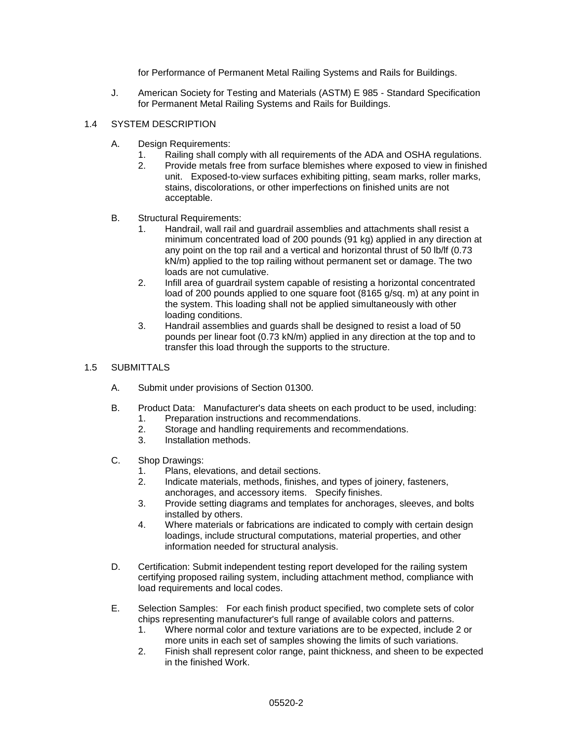for Performance of Permanent Metal Railing Systems and Rails for Buildings.

J. American Society for Testing and Materials (ASTM) E 985 - Standard Specification for Permanent Metal Railing Systems and Rails for Buildings.

# 1.4 SYSTEM DESCRIPTION

- A. Design Requirements:
	- 1. Railing shall comply with all requirements of the ADA and OSHA regulations.
	- 2. Provide metals free from surface blemishes where exposed to view in finished unit. Exposed-to-view surfaces exhibiting pitting, seam marks, roller marks, stains, discolorations, or other imperfections on finished units are not acceptable.
- B. Structural Requirements:
	- 1. Handrail, wall rail and guardrail assemblies and attachments shall resist a minimum concentrated load of 200 pounds (91 kg) applied in any direction at any point on the top rail and a vertical and horizontal thrust of 50 lb/lf (0.73 kN/m) applied to the top railing without permanent set or damage. The two loads are not cumulative.
	- 2. Infill area of guardrail system capable of resisting a horizontal concentrated load of 200 pounds applied to one square foot (8165 g/sq. m) at any point in the system. This loading shall not be applied simultaneously with other loading conditions.
	- 3. Handrail assemblies and guards shall be designed to resist a load of 50 pounds per linear foot (0.73 kN/m) applied in any direction at the top and to transfer this load through the supports to the structure.

# 1.5 SUBMITTALS

- A. Submit under provisions of Section 01300.
- B. Product Data: Manufacturer's data sheets on each product to be used, including: 1. Preparation instructions and recommendations.
	- 2. Storage and handling requirements and recommendations.
	- 3. Installation methods.
- C. Shop Drawings:
	- 1. Plans, elevations, and detail sections.
	- 2. Indicate materials, methods, finishes, and types of joinery, fasteners, anchorages, and accessory items. Specify finishes.
	- 3. Provide setting diagrams and templates for anchorages, sleeves, and bolts installed by others.
	- 4. Where materials or fabrications are indicated to comply with certain design loadings, include structural computations, material properties, and other information needed for structural analysis.
- D. Certification: Submit independent testing report developed for the railing system certifying proposed railing system, including attachment method, compliance with load requirements and local codes.
- E. Selection Samples: For each finish product specified, two complete sets of color chips representing manufacturer's full range of available colors and patterns.
	- 1. Where normal color and texture variations are to be expected, include 2 or more units in each set of samples showing the limits of such variations.
	- 2. Finish shall represent color range, paint thickness, and sheen to be expected in the finished Work.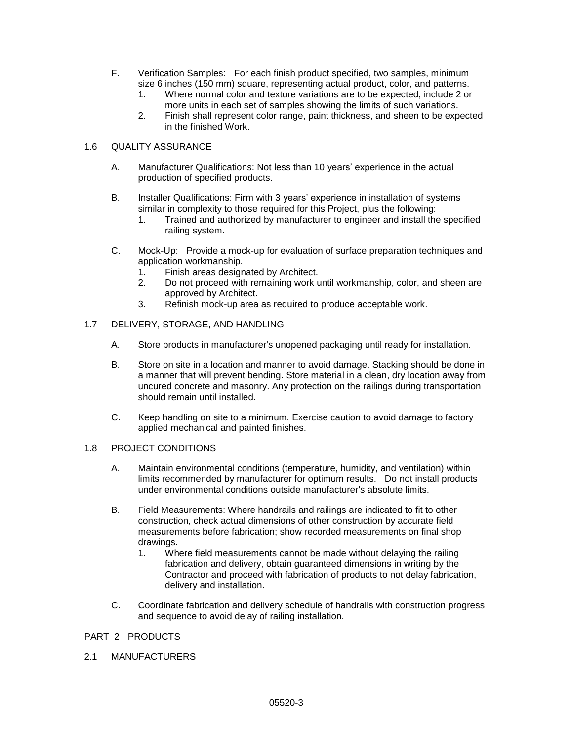- F. Verification Samples: For each finish product specified, two samples, minimum size 6 inches (150 mm) square, representing actual product, color, and patterns.
	- 1. Where normal color and texture variations are to be expected, include 2 or more units in each set of samples showing the limits of such variations.
	- 2. Finish shall represent color range, paint thickness, and sheen to be expected in the finished Work.

# 1.6 QUALITY ASSURANCE

- A. Manufacturer Qualifications: Not less than 10 years' experience in the actual production of specified products.
- B. Installer Qualifications: Firm with 3 years' experience in installation of systems similar in complexity to those required for this Project, plus the following:
	- 1. Trained and authorized by manufacturer to engineer and install the specified railing system.
- C. Mock-Up: Provide a mock-up for evaluation of surface preparation techniques and application workmanship.
	- 1. Finish areas designated by Architect.
	- 2. Do not proceed with remaining work until workmanship, color, and sheen are approved by Architect.
	- 3. Refinish mock-up area as required to produce acceptable work.

# 1.7 DELIVERY, STORAGE, AND HANDLING

- A. Store products in manufacturer's unopened packaging until ready for installation.
- B. Store on site in a location and manner to avoid damage. Stacking should be done in a manner that will prevent bending. Store material in a clean, dry location away from uncured concrete and masonry. Any protection on the railings during transportation should remain until installed.
- C. Keep handling on site to a minimum. Exercise caution to avoid damage to factory applied mechanical and painted finishes.

### 1.8 PROJECT CONDITIONS

- A. Maintain environmental conditions (temperature, humidity, and ventilation) within limits recommended by manufacturer for optimum results. Do not install products under environmental conditions outside manufacturer's absolute limits.
- B. Field Measurements: Where handrails and railings are indicated to fit to other construction, check actual dimensions of other construction by accurate field measurements before fabrication; show recorded measurements on final shop drawings.
	- 1. Where field measurements cannot be made without delaying the railing fabrication and delivery, obtain guaranteed dimensions in writing by the Contractor and proceed with fabrication of products to not delay fabrication, delivery and installation.
- C. Coordinate fabrication and delivery schedule of handrails with construction progress and sequence to avoid delay of railing installation.

# PART 2 PRODUCTS

2.1 MANUFACTURERS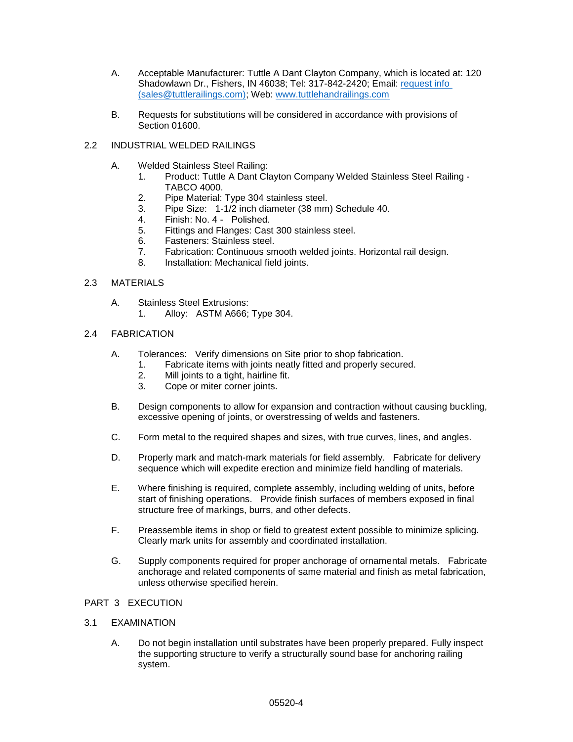- A. Acceptable Manufacturer: Tuttle A Dant Clayton Company, which is located at: 120 Shadowlawn Dr., Fishers, IN 46038; Tel: 317-842-2420; Email: [request info](mailto:request%20info%20(sales@tuttlerailings.com))  [\(sales@tuttlerailings.com\);](mailto:request%20info%20(sales@tuttlerailings.com)) Web: [www.tuttlehandrailings.com](http://www.tuttlehandrailings.com/)
- B. Requests for substitutions will be considered in accordance with provisions of Section 01600.
- 2.2 INDUSTRIAL WELDED RAILINGS
	- A. Welded Stainless Steel Railing:
		- 1. Product: Tuttle A Dant Clayton Company Welded Stainless Steel Railing TABCO 4000.
		- 2. Pipe Material: Type 304 stainless steel.
		- 3. Pipe Size: 1-1/2 inch diameter (38 mm) Schedule 40.
		- 4. Finish: No. 4 Polished.
		- 5. Fittings and Flanges: Cast 300 stainless steel.
		- 6. Fasteners: Stainless steel.
		- 7. Fabrication: Continuous smooth welded joints. Horizontal rail design.
		- 8. Installation: Mechanical field joints.

#### 2.3 MATERIALS

- A. Stainless Steel Extrusions:
	- 1. Alloy: ASTM A666; Type 304.

#### 2.4 FABRICATION

- A. Tolerances: Verify dimensions on Site prior to shop fabrication.
	- 1. Fabricate items with joints neatly fitted and properly secured.
		- 2. Mill joints to a tight, hairline fit.
		- 3. Cope or miter corner joints.
- B. Design components to allow for expansion and contraction without causing buckling, excessive opening of joints, or overstressing of welds and fasteners.
- C. Form metal to the required shapes and sizes, with true curves, lines, and angles.
- D. Properly mark and match-mark materials for field assembly. Fabricate for delivery sequence which will expedite erection and minimize field handling of materials.
- E. Where finishing is required, complete assembly, including welding of units, before start of finishing operations. Provide finish surfaces of members exposed in final structure free of markings, burrs, and other defects.
- F. Preassemble items in shop or field to greatest extent possible to minimize splicing. Clearly mark units for assembly and coordinated installation.
- G. Supply components required for proper anchorage of ornamental metals. Fabricate anchorage and related components of same material and finish as metal fabrication, unless otherwise specified herein.

# PART 3 EXECUTION

### 3.1 EXAMINATION

A. Do not begin installation until substrates have been properly prepared. Fully inspect the supporting structure to verify a structurally sound base for anchoring railing system.